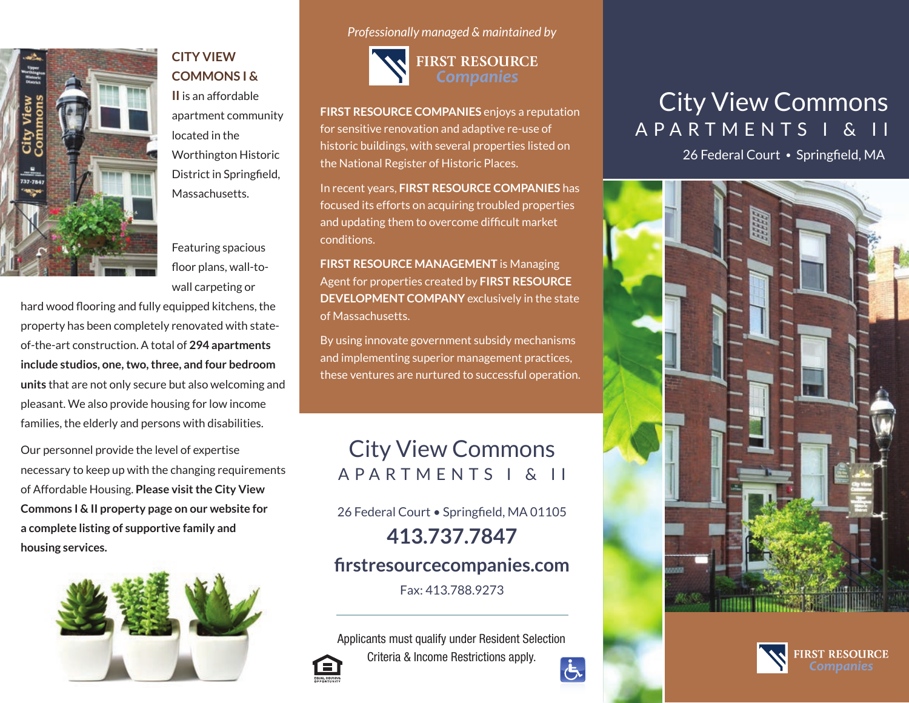

#### **CITY VIEW COMMONS I &**

**II** is an affordable apartment community located in the Worthington Historic District in Springfield, Massachusetts.

Featuring spacious floor plans, wall-towall carpeting or

hard wood flooring and fully equipped kitchens, the property has been completely renovated with stateof-the-art construction. A total of **294 apartments include studios, one, two, three, and four bedroom units** that are not only secure but also welcoming and pleasant. We also provide housing for low income families, the elderly and persons with disabilities.

Our personnel provide the level of expertise necessary to keep up with the changing requirements of Affordable Housing. **Please visit the City View Commons I & II property page on our website for a complete listing of supportive family and housing services.**



*Professionally managed & maintained by*



**FIRST RESOURCE COMPANIES** enjoys a reputation for sensitive renovation and adaptive re-use of historic buildings, with several properties listed on the National Register of Historic Places.

In recent years, **FIRST RESOURCE COMPANIES** has focused its efforts on acquiring troubled properties and updating them to overcome difficult market conditions.

**FIRST RESOURCE MANAGEMENT** is Managing Agent for properties created by **FIRST RESOURCE DEVELOPMENT COMPANY** exclusively in the state of Massachusetts.

By using innovate government subsidy mechanisms and implementing superior management practices, these ventures are nurtured to successful operation.

## City View Commons APARTMENTS I & II

26 Federal Court • Springfield, MA 01105 **413.737.7847**

### **firstresourcecompanies.com**

Fax: 413.788.9273

Applicants must qualify under Resident Selection Criteria & Income Restrictions apply.  $\overline{G}$ 

# City View Commons APARTMENTS I & II

26 Federal Court • Springfield, MA